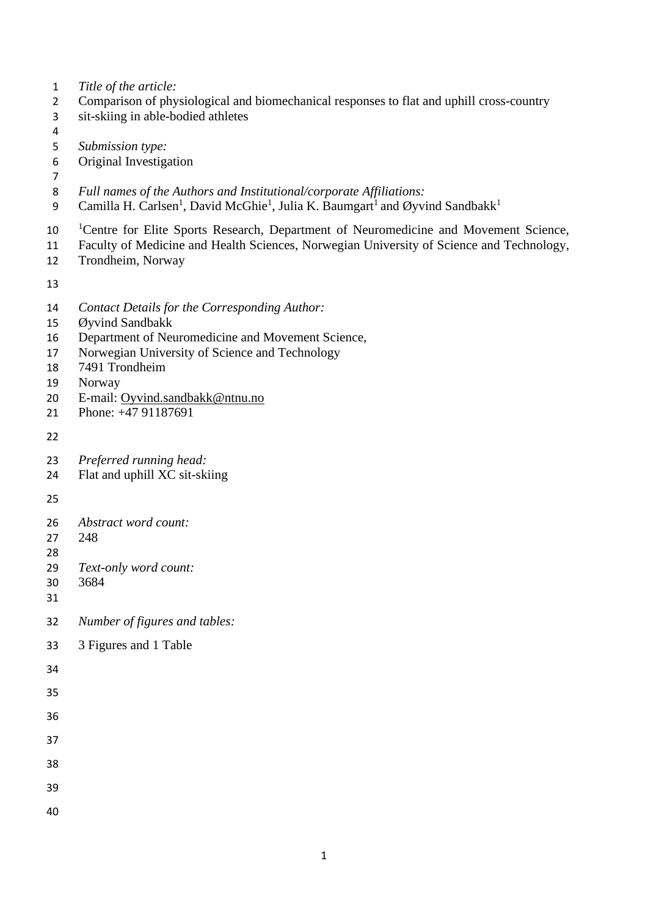- *Title of the article:*
- Comparison of physiological and biomechanical responses to flat and uphill cross-country
- sit-skiing in able-bodied athletes
- 
- *Submission type:*
- Original Investigation
- 
- *Full names of the Authors and Institutional/corporate Affiliations:*
- Camilla H. Carlsen<sup>1</sup>, David McGhie<sup>1</sup>, Julia K. Baumgart<sup>1</sup> and Øyvind Sandbakk<sup>1</sup>
- 10 <sup>1</sup>Centre for Elite Sports Research, Department of Neuromedicine and Movement Science,
- Faculty of Medicine and Health Sciences, Norwegian University of Science and Technology, Trondheim, Norway
- 
- *Contact Details for the Corresponding Author:*
- Øyvind Sandbakk
- Department of Neuromedicine and Movement Science,
- Norwegian University of Science and Technology
- 7491 Trondheim
- Norway
- E-mail: [Oyvind.sandbakk@ntnu.no](mailto:Oyvind.sandbakk@ntnu.no)
- Phone: +47 91187691
- 
- *Preferred running head:*
- Flat and uphill XC sit-skiing
- 
- *Abstract word count:*
- 248
- 
- *Text-only word count:*
- 3684
- 
- *Number of figures and tables:*
- 3 Figures and 1 Table
- 
- 
- 
- 
- 
- 
- 
-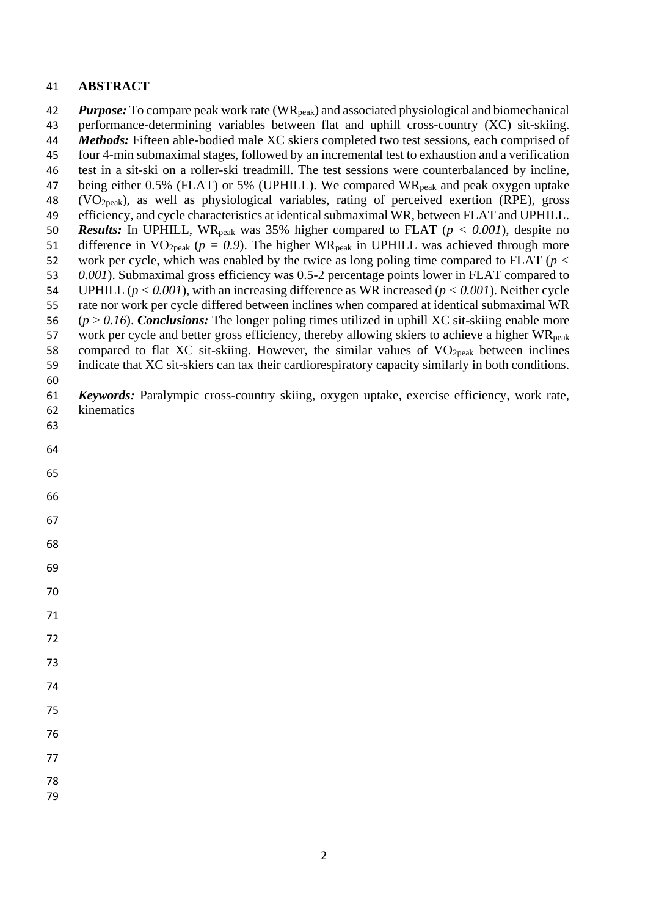### **ABSTRACT**

42 *Purpose:* To compare peak work rate (WR<sub>peak</sub>) and associated physiological and biomechanical performance-determining variables between flat and uphill cross-country (XC) sit-skiing. *Methods:* Fifteen able-bodied male XC skiers completed two test sessions, each comprised of four 4-min submaximal stages, followed by an incremental test to exhaustion and a verification test in a sit-ski on a roller-ski treadmill. The test sessions were counterbalanced by incline, 47 being either 0.5% (FLAT) or 5% (UPHILL). We compared WR<sub>peak</sub> and peak oxygen uptake (VO2peak), as well as physiological variables, rating of perceived exertion (RPE), gross efficiency, and cycle characteristics at identical submaximal WR, between FLAT and UPHILL. *Results:* In UPHILL, WRpeak was 35% higher compared to FLAT (*p < 0.001*), despite no 51 difference in VO<sub>2peak</sub> ( $p = 0.9$ ). The higher WR<sub>peak</sub> in UPHILL was achieved through more work per cycle, which was enabled by the twice as long poling time compared to FLAT (*p < 0.001*). Submaximal gross efficiency was 0.5-2 percentage points lower in FLAT compared to 54 UPHILL ( $p < 0.001$ ), with an increasing difference as WR increased ( $p < 0.001$ ). Neither cycle rate nor work per cycle differed between inclines when compared at identical submaximal WR (*p* > *0.16*). *Conclusions:* The longer poling times utilized in uphill XC sit-skiing enable more 57 work per cycle and better gross efficiency, thereby allowing skiers to achieve a higher  $WR_{\text{peak}}$ 58 compared to flat XC sit-skiing. However, the similar values of  $VO<sub>2peak</sub>$  between inclines indicate that XC sit-skiers can tax their cardiorespiratory capacity similarly in both conditions. *Keywords:* Paralympic cross-country skiing, oxygen uptake, exercise efficiency, work rate, kinematics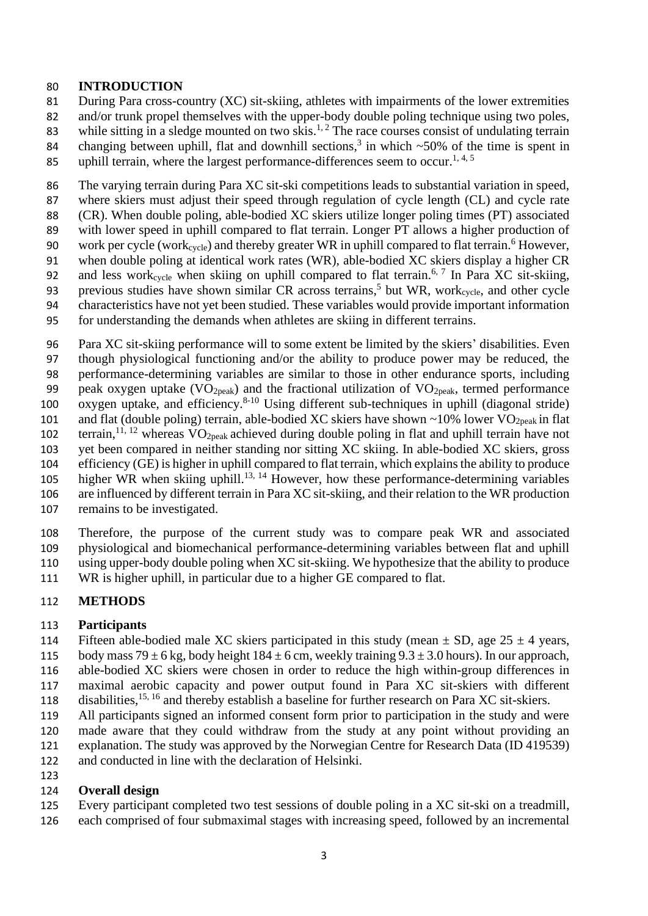#### **INTRODUCTION**

81 During Para cross-country (XC) sit-skiing, athletes with impairments of the lower extremities 82 and/or trunk propel themselves with the upper-body double poling technique using two poles, 83 while sitting in a sledge mounted on two skis.<sup>1, 2</sup> The race courses consist of undulating terrain 84 changing between uphill, flat and downhill sections,<sup>3</sup> in which  $\sim$  50% of the time is spent in 85 uphill terrain, where the largest performance-differences seem to occur.<sup>1, 4, 5</sup>

 The varying terrain during Para XC sit-ski competitions leads to substantial variation in speed, where skiers must adjust their speed through regulation of cycle length (CL) and cycle rate (CR). When double poling, able-bodied XC skiers utilize longer poling times (PT) associated with lower speed in uphill compared to flat terrain. Longer PT allows a higher production of 90 work per cycle (work $_{\text{cycle}}$ ) and thereby greater WR in uphill compared to flat terrain.<sup>6</sup> However, when double poling at identical work rates (WR), able-bodied XC skiers display a higher CR 92 and less work<sub>cycle</sub> when skiing on uphill compared to flat terrain.<sup>6, 7</sup> In Para XC sit-skiing, 93 previous studies have shown similar CR across terrains,<sup>5</sup> but WR, work<sub>cycle</sub>, and other cycle characteristics have not yet been studied. These variables would provide important information for understanding the demands when athletes are skiing in different terrains.

 Para XC sit-skiing performance will to some extent be limited by the skiers' disabilities. Even though physiological functioning and/or the ability to produce power may be reduced, the performance-determining variables are similar to those in other endurance sports, including 99 peak oxygen uptake (VO<sub>2peak</sub>) and the fractional utilization of VO<sub>2peak</sub>, termed performance  $\frac{1}{2}$  oxygen uptake, and efficiency.<sup>8-10</sup> Using different sub-techniques in uphill (diagonal stride) 101 and flat (double poling) terrain, able-bodied XC skiers have shown  $\sim$ 10% lower VO<sub>2peak</sub> in flat 102 terrain,  $11, 12$  whereas VO<sub>2peak</sub> achieved during double poling in flat and uphill terrain have not 103 yet been compared in neither standing nor sitting XC skiing. In able-bodied XC skiers, gross efficiency (GE) is higher in uphill compared to flat terrain, which explainsthe ability to produce 105 higher WR when skiing uphill.<sup>13, 14</sup> However, how these performance-determining variables are influenced by different terrain in Para XC sit-skiing, and their relation to the WR production remains to be investigated.

 Therefore, the purpose of the current study was to compare peak WR and associated physiological and biomechanical performance-determining variables between flat and uphill using upper-body double poling when XC sit-skiing. We hypothesize that the ability to produce WR is higher uphill, in particular due to a higher GE compared to flat.

**METHODS**

## **Participants**

114 Fifteen able-bodied male XC skiers participated in this study (mean  $\pm$  SD, age 25  $\pm$  4 years, 115 body mass  $79 \pm 6$  kg, body height  $184 \pm 6$  cm, weekly training  $9.3 \pm 3.0$  hours). In our approach, able-bodied XC skiers were chosen in order to reduce the high within-group differences in maximal aerobic capacity and power output found in Para XC sit-skiers with different 118 disabilities, <sup>15, 16</sup> and thereby establish a baseline for further research on Para XC sit-skiers.

- All participants signed an informed consent form prior to participation in the study and were made aware that they could withdraw from the study at any point without providing an explanation. The study was approved by the Norwegian Centre for Research Data (ID 419539)
- and conducted in line with the declaration of Helsinki.
- 

# **Overall design**

 Every participant completed two test sessions of double poling in a XC sit-ski on a treadmill, each comprised of four submaximal stages with increasing speed, followed by an incremental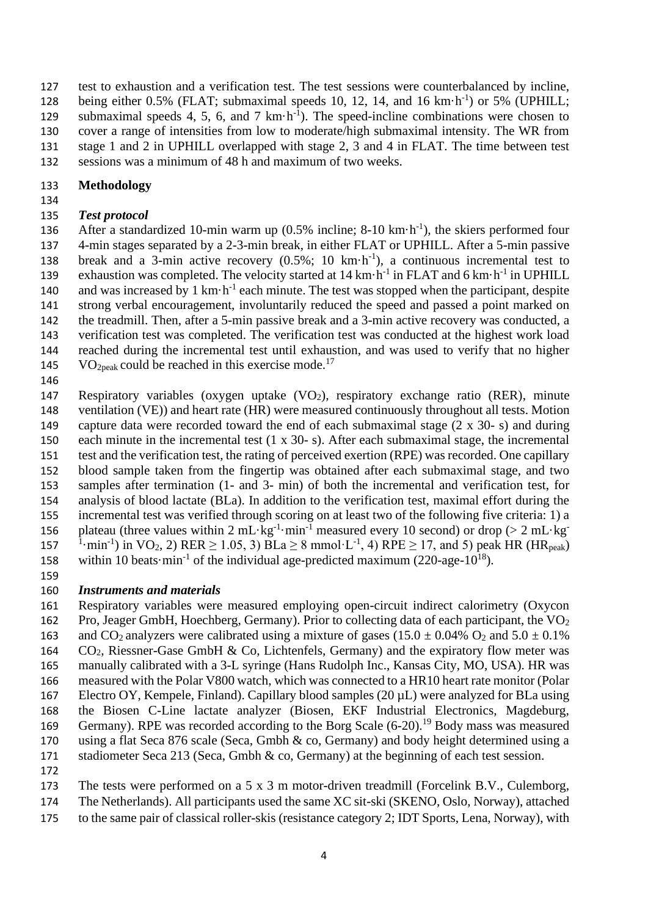test to exhaustion and a verification test. The test sessions were counterbalanced by incline, 128 being either 0.5% (FLAT; submaximal speeds 10, 12, 14, and 16 km·h<sup>-1</sup>) or 5% (UPHILL; 129 submaximal speeds 4, 5, 6, and 7  $km\cdot h^{-1}$ ). The speed-incline combinations were chosen to cover a range of intensities from low to moderate/high submaximal intensity. The WR from stage 1 and 2 in UPHILL overlapped with stage 2, 3 and 4 in FLAT. The time between test sessions was a minimum of 48 h and maximum of two weeks.

#### **Methodology**

### *Test protocol*

136 After a standardized 10-min warm up  $(0.5\%$  incline; 8-10 km·h<sup>-1</sup>), the skiers performed four 4-min stages separated by a 2-3-min break, in either FLAT or UPHILL. After a 5-min passive 138 break and a 3-min active recovery  $(0.5\%; 10 \text{ km} \cdot \text{h}^{-1})$ , a continuous incremental test to 139 exhaustion was completed. The velocity started at  $14 \text{ km} \cdot \text{h}^{-1}$  in FLAT and 6 km $\cdot \text{h}^{-1}$  in UPHILL 140 and was increased by 1  $km \cdot h^{-1}$  each minute. The test was stopped when the participant, despite strong verbal encouragement, involuntarily reduced the speed and passed a point marked on the treadmill. Then, after a 5-min passive break and a 3-min active recovery was conducted, a verification test was completed. The verification test was conducted at the highest work load reached during the incremental test until exhaustion, and was used to verify that no higher 145 VO<sub>2peak</sub> could be reached in this exercise mode.<sup>17</sup>

147 Respiratory variables (oxygen uptake  $(VO_2)$ , respiratory exchange ratio (RER), minute ventilation (VE)) and heart rate (HR) were measured continuously throughout all tests. Motion capture data were recorded toward the end of each submaximal stage (2 x 30- s) and during each minute in the incremental test (1 x 30- s). After each submaximal stage, the incremental test and the verification test, the rating of perceived exertion (RPE) was recorded. One capillary blood sample taken from the fingertip was obtained after each submaximal stage, and two samples after termination (1- and 3- min) of both the incremental and verification test, for analysis of blood lactate (BLa). In addition to the verification test, maximal effort during the incremental test was verified through scoring on at least two of the following five criteria: 1) a plateau (three values within 2 mL·kg<sup>-1</sup>·min<sup>-1</sup> measured every 10 second) or drop ( $> 2$  mL·kg<sup>-1</sup> 157 <sup>1</sup>·min<sup>-1</sup>) in VO<sub>2</sub>, 2) RER  $\geq$  1.05, 3) BLa  $\geq$  8 mmol·L<sup>-1</sup>, 4) RPE  $\geq$  17, and 5) peak HR (HR<sub>peak</sub>) 158 within 10 beats $\cdot$ min<sup>-1</sup> of the individual age-predicted maximum (220-age-10<sup>18</sup>).

## *Instruments and materials*

 Respiratory variables were measured employing open-circuit indirect calorimetry (Oxycon Pro, Jeager GmbH, Hoechberg, Germany). Prior to collecting data of each participant, the VO<sup>2</sup> 163 and CO<sub>2</sub> analyzers were calibrated using a mixture of gases (15.0  $\pm$  0.04% O<sub>2</sub> and 5.0  $\pm$  0.1%  $CO<sub>2</sub>$ , Riessner-Gase GmbH & Co, Lichtenfels, Germany) and the expiratory flow meter was manually calibrated with a 3-L syringe (Hans Rudolph Inc., Kansas City, MO, USA). HR was measured with the Polar V800 watch, which was connected to a HR10 heart rate monitor (Polar Electro OY, Kempele, Finland). Capillary blood samples (20 µL) were analyzed for BLa using the Biosen C-Line lactate analyzer (Biosen, EKF Industrial Electronics, Magdeburg, 169 Germany). RPE was recorded according to the Borg Scale (6-20).<sup>19</sup> Body mass was measured using a flat Seca 876 scale (Seca, Gmbh & co, Germany) and body height determined using a stadiometer Seca 213 (Seca, Gmbh & co, Germany) at the beginning of each test session.

 The tests were performed on a 5 x 3 m motor-driven treadmill (Forcelink B.V., Culemborg, The Netherlands). All participants used the same XC sit-ski (SKENO, Oslo, Norway), attached

to the same pair of classical roller-skis (resistance category 2; IDT Sports, Lena, Norway), with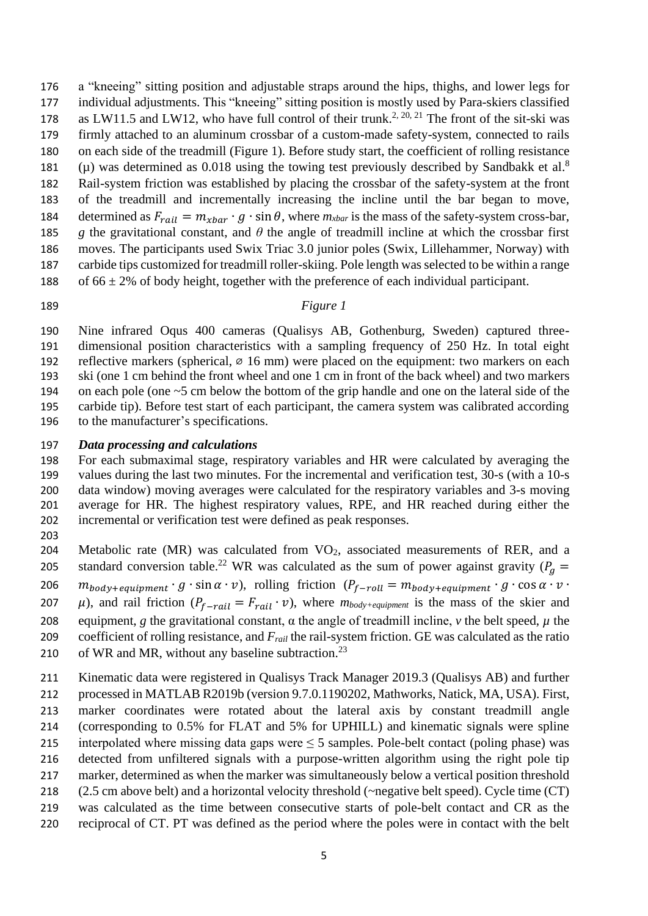a "kneeing" sitting position and adjustable straps around the hips, thighs, and lower legs for individual adjustments. This "kneeing" sitting position is mostly used by Para-skiers classified 178 as LW11.5 and LW12, who have full control of their trunk.<sup>2, 20, 21</sup> The front of the sit-ski was firmly attached to an aluminum crossbar of a custom-made safety-system, connected to rails on each side of the treadmill (Figure 1). Before study start, the coefficient of rolling resistance ( $\mu$ ) was determined as 0.018 using the towing test previously described by Sandbakk et al.<sup>8</sup> Rail-system friction was established by placing the crossbar of the safety-system at the front of the treadmill and incrementally increasing the incline until the bar began to move, determined as  $F_{\text{real}} = m_{\text{xbar}} \cdot g \cdot \sin \theta$ , where  $m_{\text{xbar}}$  is the mass of the safety-system cross-bar, *g* the gravitational constant, and  $\theta$  the angle of treadmill incline at which the crossbar first moves. The participants used Swix Triac 3.0 junior poles (Swix, Lillehammer, Norway) with carbide tips customized for treadmill roller-skiing. Pole length was selected to be within a range 188 of  $66 \pm 2\%$  of body height, together with the preference of each individual participant.

#### *Figure 1*

 Nine infrared Oqus 400 cameras (Qualisys AB, Gothenburg, Sweden) captured three- dimensional position characteristics with a sampling frequency of 250 Hz. In total eight 192 reflective markers (spherical,  $\varnothing$  16 mm) were placed on the equipment: two markers on each ski (one 1 cm behind the front wheel and one 1 cm in front of the back wheel) and two markers on each pole (one ~5 cm below the bottom of the grip handle and one on the lateral side of the carbide tip). Before test start of each participant, the camera system was calibrated according to the manufacturer's specifications.

#### *Data processing and calculations*

 For each submaximal stage, respiratory variables and HR were calculated by averaging the values during the last two minutes. For the incremental and verification test, 30-s (with a 10-s data window) moving averages were calculated for the respiratory variables and 3-s moving average for HR. The highest respiratory values, RPE, and HR reached during either the incremental or verification test were defined as peak responses.

204 Metabolic rate (MR) was calculated from VO<sub>2</sub>, associated measurements of RER, and a 205 standard conversion table.<sup>22</sup> WR was calculated as the sum of power against gravity ( $P_g$  = 206  $m_{body+equivent} \cdot g \cdot \sin \alpha \cdot v$ , rolling friction  $(P_{f-roll} = m_{body+equivent} \cdot g \cdot \cos \alpha \cdot v \cdot v)$ 207 *μ*), and rail friction  $(P_{f-real} = F_{tail} \cdot v)$ , where  $m_{body+equipment}$  is the mass of the skier and equipment, *g* the gravitational constant, α the angle of treadmill incline, *v* the belt speed, *µ* the coefficient of rolling resistance, and *Frail* the rail-system friction. GE was calculated as the ratio 210 of WR and MR, without any baseline subtraction.<sup>23</sup>

 Kinematic data were registered in Qualisys Track Manager 2019.3 (Qualisys AB) and further processed in MATLAB R2019b (version 9.7.0.1190202, Mathworks, Natick, MA, USA). First, marker coordinates were rotated about the lateral axis by constant treadmill angle (corresponding to 0.5% for FLAT and 5% for UPHILL) and kinematic signals were spline 215 interpolated where missing data gaps were  $\leq$  5 samples. Pole-belt contact (poling phase) was detected from unfiltered signals with a purpose-written algorithm using the right pole tip marker, determined as when the marker was simultaneously below a vertical position threshold (2.5 cm above belt) and a horizontal velocity threshold (~negative belt speed). Cycle time (CT) was calculated as the time between consecutive starts of pole-belt contact and CR as the reciprocal of CT. PT was defined as the period where the poles were in contact with the belt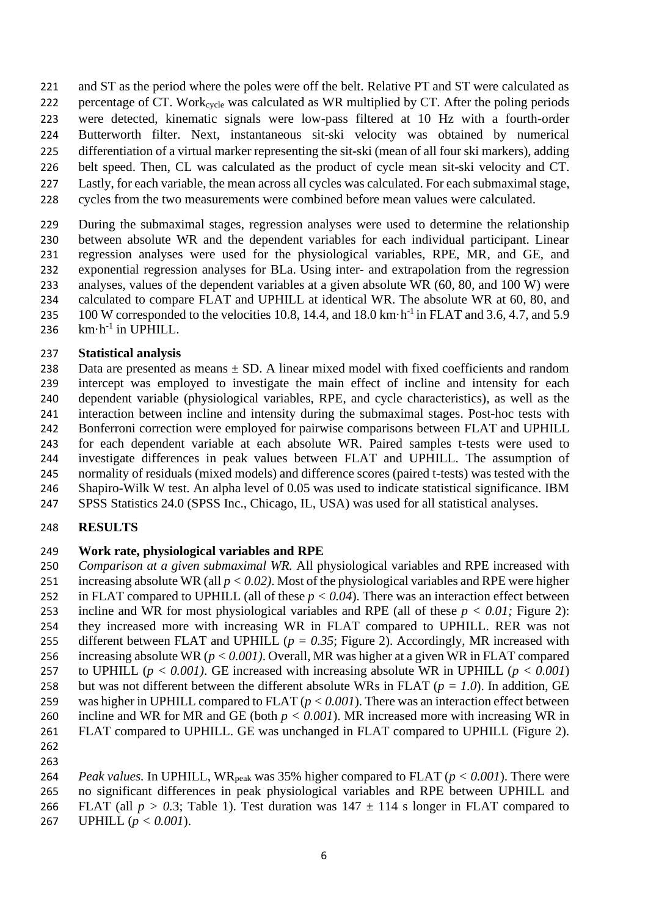- and ST as the period where the poles were off the belt. Relative PT and ST were calculated as 222 percentage of CT. Work<sub>cycle</sub> was calculated as WR multiplied by CT. After the poling periods were detected, kinematic signals were low-pass filtered at 10 Hz with a fourth-order Butterworth filter. Next, instantaneous sit-ski velocity was obtained by numerical differentiation of a virtual marker representing the sit-ski (mean of all four ski markers), adding belt speed. Then, CL was calculated as the product of cycle mean sit-ski velocity and CT. Lastly, for each variable, the mean across all cycles was calculated. For each submaximal stage, cycles from the two measurements were combined before mean values were calculated.
- During the submaximal stages, regression analyses were used to determine the relationship between absolute WR and the dependent variables for each individual participant. Linear regression analyses were used for the physiological variables, RPE, MR, and GE, and exponential regression analyses for BLa. Using inter- and extrapolation from the regression analyses, values of the dependent variables at a given absolute WR (60, 80, and 100 W) were calculated to compare FLAT and UPHILL at identical WR. The absolute WR at 60, 80, and 235 100 W corresponded to the velocities 10.8, 14.4, and 18.0 km $\cdot$ h<sup>-1</sup> in FLAT and 3.6, 4.7, and 5.9 236  $km \cdot h^{-1}$  in UPHILL.

#### **Statistical analysis**

238 Data are presented as means  $\pm$  SD. A linear mixed model with fixed coefficients and random intercept was employed to investigate the main effect of incline and intensity for each dependent variable (physiological variables, RPE, and cycle characteristics), as well as the interaction between incline and intensity during the submaximal stages. Post-hoc tests with Bonferroni correction were employed for pairwise comparisons between FLAT and UPHILL for each dependent variable at each absolute WR. Paired samples t-tests were used to investigate differences in peak values between FLAT and UPHILL. The assumption of normality of residuals (mixed models) and difference scores (paired t-tests) was tested with the Shapiro-Wilk W test. An alpha level of 0.05 was used to indicate statistical significance. IBM SPSS Statistics 24.0 (SPSS Inc., Chicago, IL, USA) was used for all statistical analyses.

## **RESULTS**

## **Work rate, physiological variables and RPE**

- *Comparison at a given submaximal WR.* All physiological variables and RPE increased with 251 increasing absolute WR (all  $p < 0.02$ ). Most of the physiological variables and RPE were higher in FLAT compared to UPHILL (all of these *p < 0.04*). There was an interaction effect between 253 incline and WR for most physiological variables and RPE (all of these  $p < 0.01$ ; Figure 2): they increased more with increasing WR in FLAT compared to UPHILL. RER was not 255 different between FLAT and UPHILL ( $p = 0.35$ ; Figure 2). Accordingly, MR increased with 256 increasing absolute WR ( $p < 0.001$ ). Overall, MR was higher at a given WR in FLAT compared 257 to UPHILL ( $p < 0.001$ ). GE increased with increasing absolute WR in UPHILL ( $p < 0.001$ ) 258 but was not different between the different absolute WRs in FLAT ( $p = 1.0$ ). In addition, GE was higher in UPHILL compared to FLAT (*p < 0.001*). There was an interaction effect between incline and WR for MR and GE (both *p < 0.001*). MR increased more with increasing WR in FLAT compared to UPHILL. GE was unchanged in FLAT compared to UPHILL (Figure 2).
- 

 *Peak values.* In UPHILL, WRpeak was 35% higher compared to FLAT (*p < 0.001*). There were no significant differences in peak physiological variables and RPE between UPHILL and 266 FLAT (all  $p > 0.3$ ; Table 1). Test duration was  $147 \pm 114$  s longer in FLAT compared to

UPHILL (*p < 0.001*).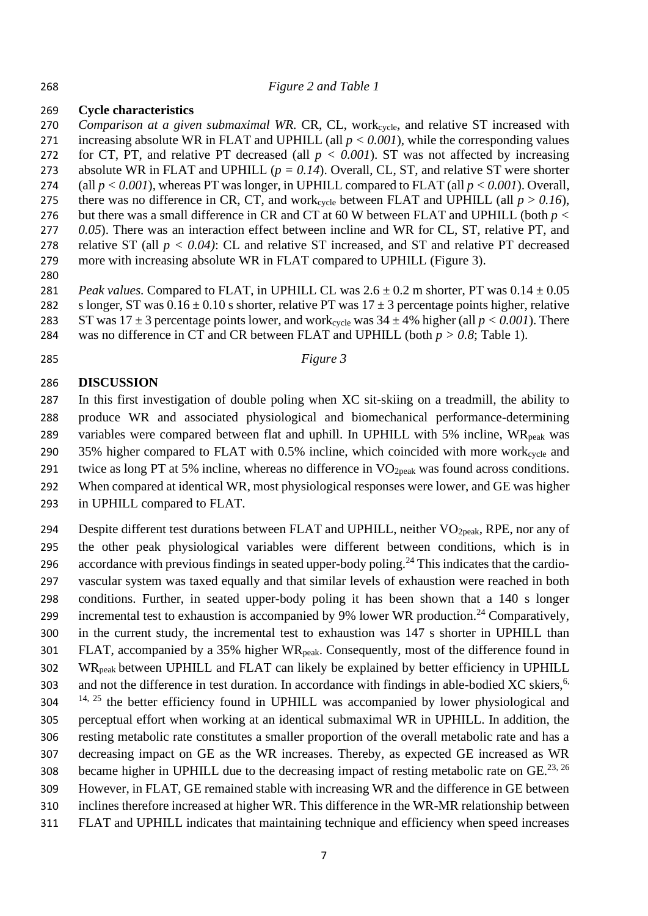#### 269 **Cycle characteristics**

270 *Comparison at a given submaximal WR.* CR, CL, work<sub>cycle</sub>, and relative ST increased with 271 increasing absolute WR in FLAT and UPHILL (all  $p < 0.001$ ), while the corresponding values 272 for CT, PT, and relative PT decreased (all  $p < 0.001$ ). ST was not affected by increasing 273 absolute WR in FLAT and UPHILL ( $p = 0.14$ ). Overall, CL, ST, and relative ST were shorter 274 (all  $p < 0.001$ ), whereas PT was longer, in UPHILL compared to FLAT (all  $p < 0.001$ ). Overall, 275 there was no difference in CR, CT, and work<sub>cycle</sub> between FLAT and UPHILL (all  $p > 0.16$ ), 276 but there was a small difference in CR and CT at 60 W between FLAT and UPHILL (both *p <*  277 *0.05*). There was an interaction effect between incline and WR for CL, ST, relative PT, and 278 relative ST (all *p < 0.04)*: CL and relative ST increased, and ST and relative PT decreased 279 more with increasing absolute WR in FLAT compared to UPHILL (Figure 3).

280

281 *Peak values.* Compared to FLAT, in UPHILL CL was  $2.6 \pm 0.2$  m shorter, PT was  $0.14 \pm 0.05$ 282 s longer, ST was  $0.16 \pm 0.10$  s shorter, relative PT was  $17 \pm 3$  percentage points higher, relative

283 ST was  $17 \pm 3$  percentage points lower, and work<sub>cycle</sub> was  $34 \pm 4\%$  higher (all  $p < 0.001$ ). There

284 was no difference in CT and CR between FLAT and UPHILL (both  $p > 0.8$ ; Table 1).

#### 285 *Figure 3*

#### 286 **DISCUSSION**

287 In this first investigation of double poling when XC sit-skiing on a treadmill, the ability to 288 produce WR and associated physiological and biomechanical performance-determining 289 variables were compared between flat and uphill. In UPHILL with 5% incline,  $WR_{\text{peak}}$  was 290 35% higher compared to FLAT with  $0.5\%$  incline, which coincided with more work<sub>cycle</sub> and 291 twice as long PT at 5% incline, whereas no difference in  $VO_{2\text{peak}}$  was found across conditions. 292 When compared at identical WR, most physiological responses were lower, and GE was higher 293 in UPHILL compared to FLAT.

294 Despite different test durations between FLAT and UPHILL, neither VO<sub>2peak</sub>, RPE, nor any of the other peak physiological variables were different between conditions, which is in 296 accordance with previous findings in seated upper-body poling.<sup>24</sup> This indicates that the cardio- vascular system was taxed equally and that similar levels of exhaustion were reached in both conditions. Further, in seated upper-body poling it has been shown that a 140 s longer 299 incremental test to exhaustion is accompanied by 9% lower WR production.<sup>24</sup> Comparatively, in the current study, the incremental test to exhaustion was 147 s shorter in UPHILL than 301 FLAT, accompanied by a 35% higher WR<sub>peak</sub>. Consequently, most of the difference found in WRpeak between UPHILL and FLAT can likely be explained by better efficiency in UPHILL 303 and not the difference in test duration. In accordance with findings in able-bodied XC skiers,  $6$ , ,  $25$  the better efficiency found in UPHILL was accompanied by lower physiological and perceptual effort when working at an identical submaximal WR in UPHILL. In addition, the resting metabolic rate constitutes a smaller proportion of the overall metabolic rate and has a decreasing impact on GE as the WR increases. Thereby, as expected GE increased as WR 308 became higher in UPHILL due to the decreasing impact of resting metabolic rate on GE.<sup>23, 26</sup> However, in FLAT, GE remained stable with increasing WR and the difference in GE between inclines therefore increased at higher WR. This difference in the WR-MR relationship between FLAT and UPHILL indicates that maintaining technique and efficiency when speed increases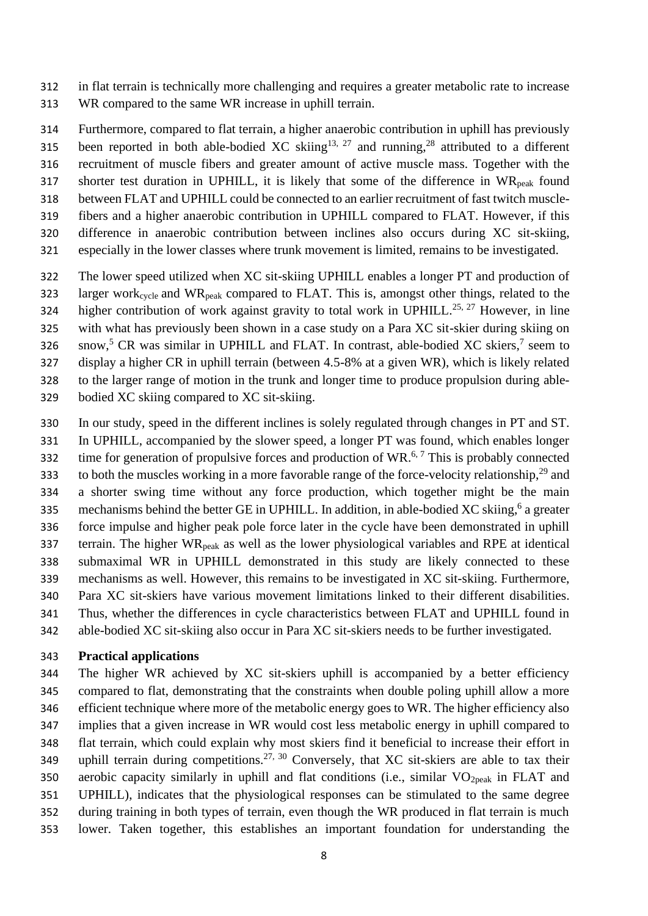- in flat terrain is technically more challenging and requires a greater metabolic rate to increase WR compared to the same WR increase in uphill terrain.
- Furthermore, compared to flat terrain, a higher anaerobic contribution in uphill has previously 315 been reported in both able-bodied XC skiing<sup>13, 27</sup> and running,<sup>28</sup> attributed to a different recruitment of muscle fibers and greater amount of active muscle mass. Together with the 317 shorter test duration in UPHILL, it is likely that some of the difference in WR<sub>peak</sub> found between FLAT and UPHILL could be connected to an earlier recruitment of fast twitch muscle- fibers and a higher anaerobic contribution in UPHILL compared to FLAT. However, if this difference in anaerobic contribution between inclines also occurs during XC sit-skiing, especially in the lower classes where trunk movement is limited, remains to be investigated.
- The lower speed utilized when XC sit-skiing UPHILL enables a longer PT and production of 323 larger work<sub>cycle</sub> and  $WR_{peak}$  compared to FLAT. This is, amongst other things, related to the 324 higher contribution of work against gravity to total work in UPHILL.<sup>25, 27</sup> However, in line with what has previously been shown in a case study on a Para XC sit-skier during skiing on 326 snow,<sup>5</sup> CR was similar in UPHILL and FLAT. In contrast, able-bodied XC skiers,<sup>7</sup> seem to display a higher CR in uphill terrain (between 4.5-8% at a given WR), which is likely related to the larger range of motion in the trunk and longer time to produce propulsion during able-bodied XC skiing compared to XC sit-skiing.
- In our study, speed in the different inclines is solely regulated through changes in PT and ST.
- In UPHILL, accompanied by the slower speed, a longer PT was found, which enables longer 332 time for generation of propulsive forces and production of WR.<sup>6,7</sup> This is probably connected to both the muscles working in a more favorable range of the force-velocity relationship,  $2^9$  and a shorter swing time without any force production, which together might be the main
- 335 mechanisms behind the better GE in UPHILL. In addition, in able-bodied XC skiing, a greater force impulse and higher peak pole force later in the cycle have been demonstrated in uphill terrain. The higher WRpeak as well as the lower physiological variables and RPE at identical submaximal WR in UPHILL demonstrated in this study are likely connected to these mechanisms as well. However, this remains to be investigated in XC sit-skiing. Furthermore, Para XC sit-skiers have various movement limitations linked to their different disabilities. Thus, whether the differences in cycle characteristics between FLAT and UPHILL found in
- able-bodied XC sit-skiing also occur in Para XC sit-skiers needs to be further investigated.

## **Practical applications**

 The higher WR achieved by XC sit-skiers uphill is accompanied by a better efficiency compared to flat, demonstrating that the constraints when double poling uphill allow a more efficient technique where more of the metabolic energy goes to WR. The higher efficiency also implies that a given increase in WR would cost less metabolic energy in uphill compared to flat terrain, which could explain why most skiers find it beneficial to increase their effort in 349 uphill terrain during competitions.<sup>27, 30</sup> Conversely, that XC sit-skiers are able to tax their 350 aerobic capacity similarly in uphill and flat conditions (i.e., similar  $VO_{2peak}$  in FLAT and UPHILL), indicates that the physiological responses can be stimulated to the same degree during training in both types of terrain, even though the WR produced in flat terrain is much lower. Taken together, this establishes an important foundation for understanding the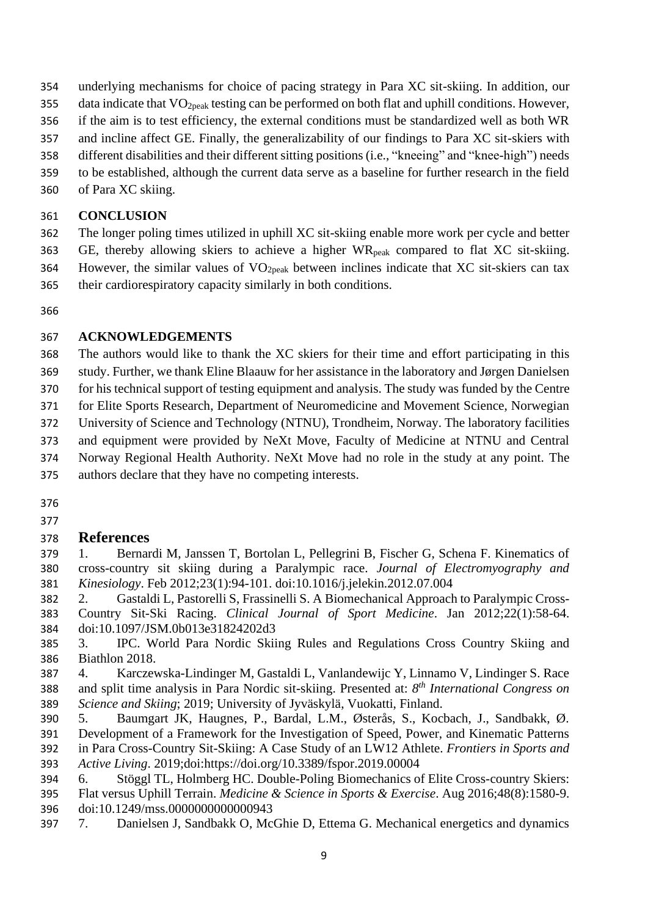- underlying mechanisms for choice of pacing strategy in Para XC sit-skiing. In addition, our
- 355 data indicate that  $VO_{2peak}$  testing can be performed on both flat and uphill conditions. However,
- if the aim is to test efficiency, the external conditions must be standardized well as both WR
- and incline affect GE. Finally, the generalizability of our findings to Para XC sit-skiers with
- different disabilities and their different sitting positions (i.e., "kneeing" and "knee-high") needs
- to be established, although the current data serve as a baseline for further research in the field
- of Para XC skiing.

## **CONCLUSION**

 The longer poling times utilized in uphill XC sit-skiing enable more work per cycle and better GE, thereby allowing skiers to achieve a higher WRpeak compared to flat XC sit-skiing. 364 However, the similar values of  $VO<sub>2peak</sub>$  between inclines indicate that XC sit-skiers can tax their cardiorespiratory capacity similarly in both conditions.

# **ACKNOWLEDGEMENTS**

 The authors would like to thank the XC skiers for their time and effort participating in this study. Further, we thank Eline Blaauw for her assistance in the laboratory and Jørgen Danielsen

- for his technical support of testing equipment and analysis. The study was funded by the Centre
- for Elite Sports Research, Department of Neuromedicine and Movement Science, Norwegian
- University of Science and Technology (NTNU), Trondheim, Norway. The laboratory facilities
- and equipment were provided by NeXt Move, Faculty of Medicine at NTNU and Central
- Norway Regional Health Authority. NeXt Move had no role in the study at any point. The
- authors declare that they have no competing interests.
- 
- 

# **References**

 1. Bernardi M, Janssen T, Bortolan L, Pellegrini B, Fischer G, Schena F. Kinematics of cross-country sit skiing during a Paralympic race. *Journal of Electromyography and Kinesiology*. Feb 2012;23(1):94-101. doi:10.1016/j.jelekin.2012.07.004

- 2. Gastaldi L, Pastorelli S, Frassinelli S. A Biomechanical Approach to Paralympic Cross- Country Sit-Ski Racing. *Clinical Journal of Sport Medicine*. Jan 2012;22(1):58-64. doi:10.1097/JSM.0b013e31824202d3
- 3. IPC. World Para Nordic Skiing Rules and Regulations Cross Country Skiing and Biathlon 2018.
- 4. Karczewska-Lindinger M, Gastaldi L, Vanlandewijc Y, Linnamo V, Lindinger S. Race 388 and split time analysis in Para Nordic sit-skiing. Presented at: 8<sup>th</sup> International Congress on *Science and Skiing*; 2019; University of Jyväskylä, Vuokatti, Finland.
- 5. Baumgart JK, Haugnes, P., Bardal, L.M., Østerås, S., Kocbach, J., Sandbakk, Ø.
- Development of a Framework for the Investigation of Speed, Power, and Kinematic Patterns in Para Cross-Country Sit-Skiing: A Case Study of an LW12 Athlete. *Frontiers in Sports and Active Living*. 2019;doi[:https://doi.org/10.3389/fspor.2019.00004](https://doi.org/10.3389/fspor.2019.00004)
- 6. Stöggl TL, Holmberg HC. Double-Poling Biomechanics of Elite Cross-country Skiers:
- Flat versus Uphill Terrain. *Medicine & Science in Sports & Exercise*. Aug 2016;48(8):1580-9.
- doi:10.1249/mss.0000000000000943
- 7. Danielsen J, Sandbakk O, McGhie D, Ettema G. Mechanical energetics and dynamics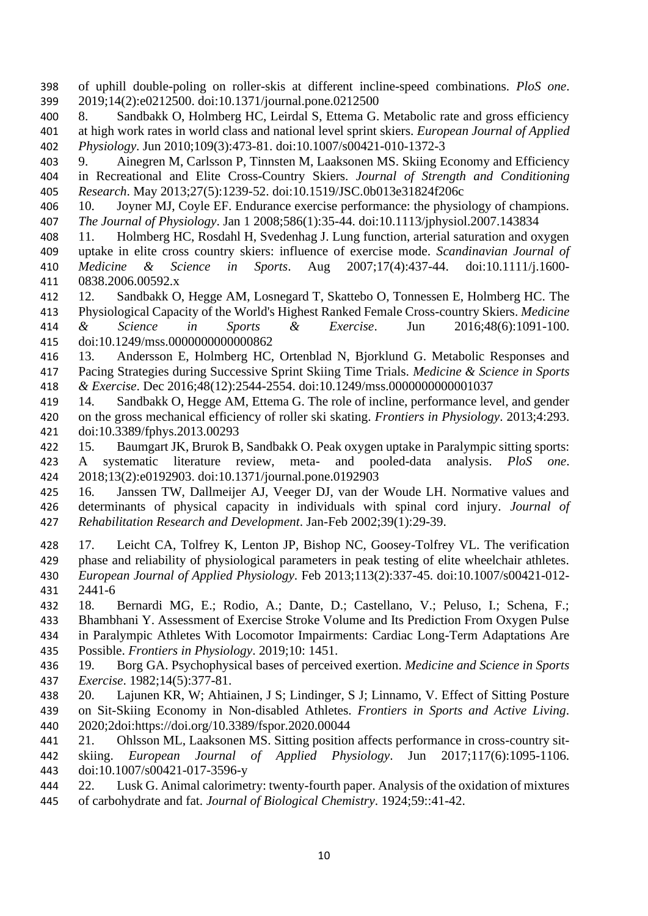of uphill double-poling on roller-skis at different incline-speed combinations. *PloS one*. 2019;14(2):e0212500. doi:10.1371/journal.pone.0212500

 8. Sandbakk O, Holmberg HC, Leirdal S, Ettema G. Metabolic rate and gross efficiency at high work rates in world class and national level sprint skiers. *European Journal of Applied Physiology*. Jun 2010;109(3):473-81. doi:10.1007/s00421-010-1372-3

 9. Ainegren M, Carlsson P, Tinnsten M, Laaksonen MS. Skiing Economy and Efficiency in Recreational and Elite Cross-Country Skiers. *Journal of Strength and Conditioning Research*. May 2013;27(5):1239-52. doi:10.1519/JSC.0b013e31824f206c

- 10. Joyner MJ, Coyle EF. Endurance exercise performance: the physiology of champions. *The Journal of Physiology*. Jan 1 2008;586(1):35-44. doi:10.1113/jphysiol.2007.143834
- 11. Holmberg HC, Rosdahl H, Svedenhag J. Lung function, arterial saturation and oxygen uptake in elite cross country skiers: influence of exercise mode. *Scandinavian Journal of Medicine & Science in Sports*. Aug 2007;17(4):437-44. doi:10.1111/j.1600- 0838.2006.00592.x
- 12. Sandbakk O, Hegge AM, Losnegard T, Skattebo O, Tonnessen E, Holmberg HC. The Physiological Capacity of the World's Highest Ranked Female Cross-country Skiers. *Medicine & Science in Sports & Exercise*. Jun 2016;48(6):1091-100. doi:10.1249/mss.0000000000000862
- 13. Andersson E, Holmberg HC, Ortenblad N, Bjorklund G. Metabolic Responses and Pacing Strategies during Successive Sprint Skiing Time Trials. *Medicine & Science in Sports & Exercise*. Dec 2016;48(12):2544-2554. doi:10.1249/mss.0000000000001037
- 14. Sandbakk O, Hegge AM, Ettema G. The role of incline, performance level, and gender on the gross mechanical efficiency of roller ski skating. *Frontiers in Physiology*. 2013;4:293. doi:10.3389/fphys.2013.00293
- 15. Baumgart JK, Brurok B, Sandbakk O. Peak oxygen uptake in Paralympic sitting sports: A systematic literature review, meta- and pooled-data analysis. *PloS one*. 2018;13(2):e0192903. doi:10.1371/journal.pone.0192903
- 16. Janssen TW, Dallmeijer AJ, Veeger DJ, van der Woude LH. Normative values and determinants of physical capacity in individuals with spinal cord injury. *Journal of Rehabilitation Research and Development*. Jan-Feb 2002;39(1):29-39.
- 17. Leicht CA, Tolfrey K, Lenton JP, Bishop NC, Goosey-Tolfrey VL. The verification phase and reliability of physiological parameters in peak testing of elite wheelchair athletes. *European Journal of Applied Physiology*. Feb 2013;113(2):337-45. doi:10.1007/s00421-012- 2441-6
- 18. Bernardi MG, E.; Rodio, A.; Dante, D.; Castellano, V.; Peluso, I.; Schena, F.; Bhambhani Y. Assessment of Exercise Stroke Volume and Its Prediction From Oxygen Pulse in Paralympic Athletes With Locomotor Impairments: Cardiac Long-Term Adaptations Are Possible. *Frontiers in Physiology*. 2019;10: 1451.
- 19. Borg GA. Psychophysical bases of perceived exertion. *Medicine and Science in Sports Exercise*. 1982;14(5):377-81.
- 20. Lajunen KR, W; Ahtiainen, J S; Lindinger, S J; Linnamo, V. Effect of Sitting Posture on Sit-Skiing Economy in Non-disabled Athletes. *Frontiers in Sports and Active Living*. 2020;2doi[:https://doi.org/10.3389/fspor.2020.00044](https://doi.org/10.3389/fspor.2020.00044)
- 21. Ohlsson ML, Laaksonen MS. Sitting position affects performance in cross-country sit- skiing. *European Journal of Applied Physiology*. Jun 2017;117(6):1095-1106. doi:10.1007/s00421-017-3596-y
- 22. Lusk G. Animal calorimetry: twenty-fourth paper. Analysis of the oxidation of mixtures of carbohydrate and fat. *Journal of Biological Chemistry*. 1924;59::41-42.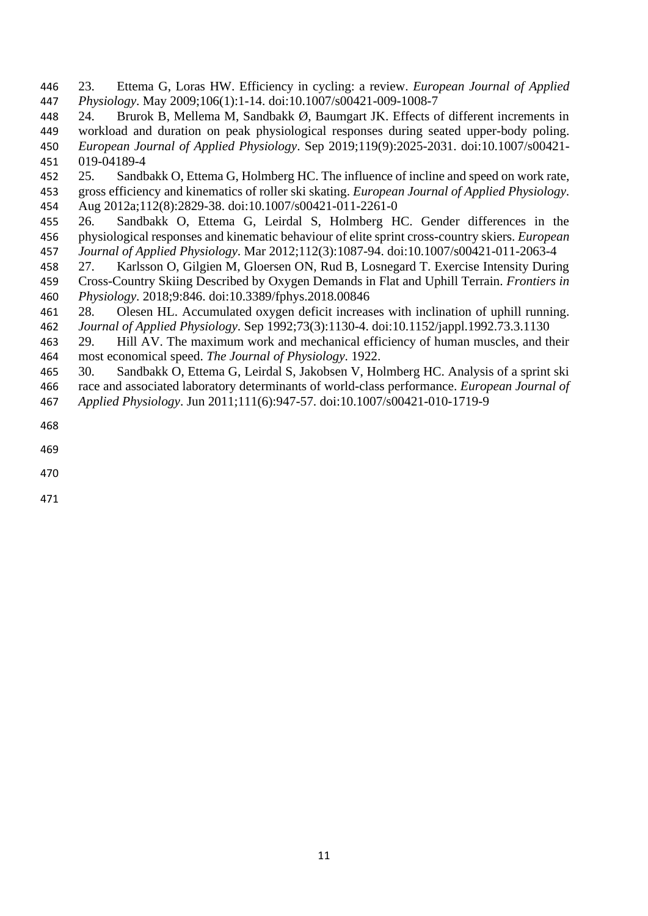- 23. Ettema G, Loras HW. Efficiency in cycling: a review. *European Journal of Applied Physiology*. May 2009;106(1):1-14. doi:10.1007/s00421-009-1008-7
- 24. Brurok B, Mellema M, Sandbakk Ø, Baumgart JK. Effects of different increments in workload and duration on peak physiological responses during seated upper-body poling. *European Journal of Applied Physiology*. Sep 2019;119(9):2025-2031. doi:10.1007/s00421- 019-04189-4
- 25. Sandbakk O, Ettema G, Holmberg HC. The influence of incline and speed on work rate, gross efficiency and kinematics of roller ski skating. *European Journal of Applied Physiology*. Aug 2012a;112(8):2829-38. doi:10.1007/s00421-011-2261-0
- 26. Sandbakk O, Ettema G, Leirdal S, Holmberg HC. Gender differences in the physiological responses and kinematic behaviour of elite sprint cross-country skiers. *European Journal of Applied Physiology*. Mar 2012;112(3):1087-94. doi:10.1007/s00421-011-2063-4
- 27. Karlsson O, Gilgien M, Gloersen ON, Rud B, Losnegard T. Exercise Intensity During Cross-Country Skiing Described by Oxygen Demands in Flat and Uphill Terrain. *Frontiers in*
- *Physiology*. 2018;9:846. doi:10.3389/fphys.2018.00846
- 28. Olesen HL. Accumulated oxygen deficit increases with inclination of uphill running. *Journal of Applied Physiology*. Sep 1992;73(3):1130-4. doi:10.1152/jappl.1992.73.3.1130
- 29. Hill AV. The maximum work and mechanical efficiency of human muscles, and their most economical speed. *The Journal of Physiology*. 1922.
- 30. Sandbakk O, Ettema G, Leirdal S, Jakobsen V, Holmberg HC. Analysis of a sprint ski
- race and associated laboratory determinants of world-class performance. *European Journal of*
- *Applied Physiology*. Jun 2011;111(6):947-57. doi:10.1007/s00421-010-1719-9
- 
- 
- 
-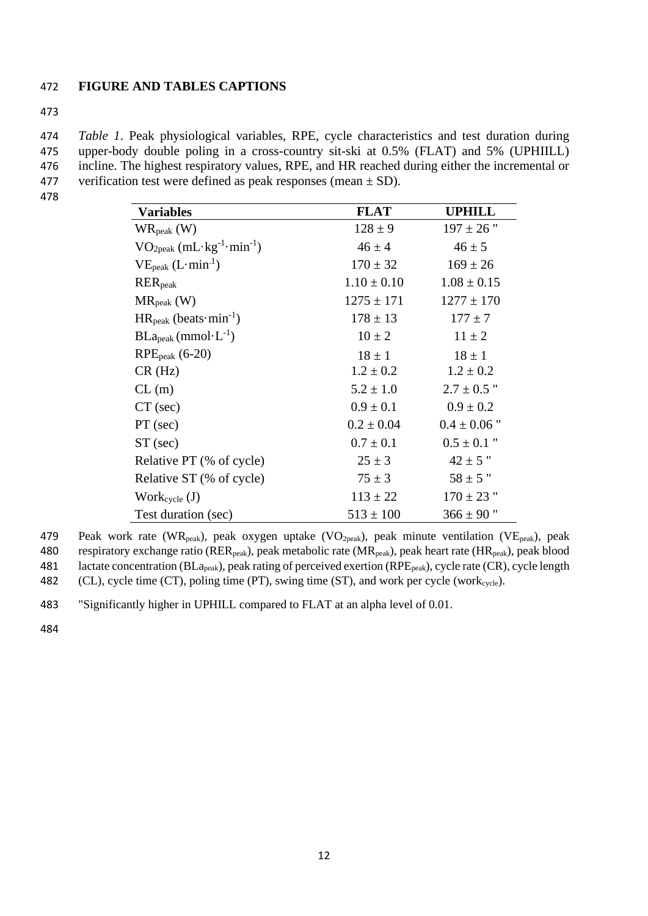#### 472 **FIGURE AND TABLES CAPTIONS**

473

 *Table 1*. Peak physiological variables, RPE, cycle characteristics and test duration during upper-body double poling in a cross-country sit-ski at 0.5% (FLAT) and 5% (UPHIILL) incline. The highest respiratory values, RPE, and HR reached during either the incremental or 477 verification test were defined as peak responses (mean  $\pm$  SD).

478

| <b>Variables</b>                               | <b>FLAT</b>     | UPHILL           |
|------------------------------------------------|-----------------|------------------|
| $WR_{peak}$ (W)                                | $128 \pm 9$     | $197 \pm 26$ "   |
| $VO2peak (mL·kg-1·min-1)$                      | $46 \pm 4$      | $46 \pm 5$       |
| $VEpeak (L·min-1)$                             | $170 \pm 32$    | $169 \pm 26$     |
| $RER_{peak}$                                   | $1.10 \pm 0.10$ | $1.08 \pm 0.15$  |
| $MR_{peak}$ (W)                                | $1275 \pm 171$  | $1277 \pm 170$   |
| $HR_{peak}$ (beats $\cdot$ min <sup>-1</sup> ) | $178 \pm 13$    | $177 \pm 7$      |
| $BLapeak$ (mmol $\cdot L^{-1}$ )               | $10 \pm 2$      | $11 \pm 2$       |
| $RPEpeak$ (6-20)                               | $18 \pm 1$      | $18 \pm 1$       |
| CR(Hz)                                         | $1.2 \pm 0.2$   | $1.2 \pm 0.2$    |
| CL(m)                                          | $5.2 \pm 1.0$   | $2.7 \pm 0.5$ "  |
| $CT$ (sec)                                     | $0.9 \pm 0.1$   | $0.9 \pm 0.2$    |
| $PT$ (sec)                                     | $0.2 \pm 0.04$  | $0.4 \pm 0.06$ " |
| $ST$ (sec)                                     | $0.7 \pm 0.1$   | $0.5 \pm 0.1$ "  |
| Relative PT (% of cycle)                       | $25 \pm 3$      | $42 \pm 5$ "     |
| Relative ST (% of cycle)                       | $75 \pm 3$      | $58 \pm 5$ "     |
| $Work_{cycle} (J)$                             | $113 \pm 22$    | $170 \pm 23$ "   |
| Test duration (sec)                            | $513 \pm 100$   | $366 \pm 90$ "   |

479 Peak work rate (WR<sub>peak</sub>), peak oxygen uptake (VO<sub>2peak</sub>), peak minute ventilation (VE<sub>peak</sub>), peak 480 respiratory exchange ratio ( $RER_{peak}$ ), peak metabolic rate ( $MR_{peak}$ ), peak heart rate ( $HR_{peak}$ ), peak blood 481 lactate concentration (BLa<sub>peak</sub>), peak rating of perceived exertion (RPE<sub>peak</sub>), cycle rate (CR), cycle length 482 (CL), cycle time (CT), poling time (PT), swing time (ST), and work per cycle (work $_{\text{cycle}}$ ).

483 "Significantly higher in UPHILL compared to FLAT at an alpha level of 0.01.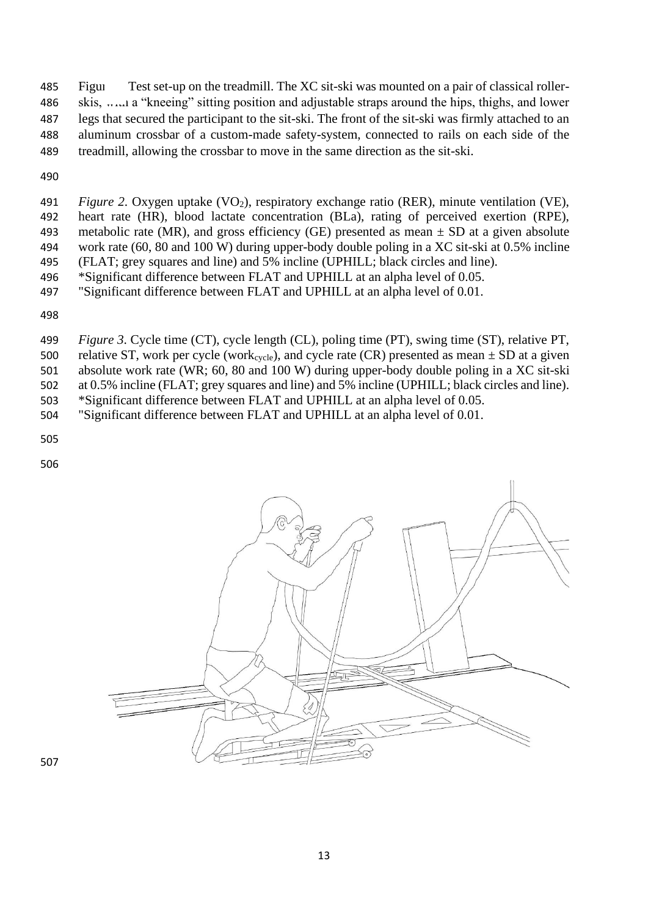485 Figur Test set-up on the treadmill. The XC sit-ski was mounted on a pair of classical roller-486 skis, with a "kneeing" sitting position and adjustable straps around the hips, thighs, and lower legs that secured the participant to the sit-ski. The front of the sit-ski was firmly attached to an aluminum crossbar of a custom-made safety-system, connected to rails on each side of the treadmill, allowing the crossbar to move in the same direction as the sit-ski.

*Figure 2.* Oxygen uptake  $(VO_2)$ , respiratory exchange ratio (RER), minute ventilation (VE), heart rate (HR), blood lactate concentration (BLa), rating of perceived exertion (RPE), 493 metabolic rate (MR), and gross efficiency (GE) presented as mean  $\pm$  SD at a given absolute work rate (60, 80 and 100 W) during upper-body double poling in a XC sit-ski at 0.5% incline (FLAT; grey squares and line) and 5% incline (UPHILL; black circles and line).

- \*Significant difference between FLAT and UPHILL at an alpha level of 0.05.
- "Significant difference between FLAT and UPHILL at an alpha level of 0.01.

- *Figure 3*. Cycle time (CT), cycle length (CL), poling time (PT), swing time (ST), relative PT,
- 500 relative ST, work per cycle (work<sub>cycle</sub>), and cycle rate (CR) presented as mean  $\pm$  SD at a given
- absolute work rate (WR; 60, 80 and 100 W) during upper-body double poling in a XC sit-ski
- at 0.5% incline (FLAT; grey squares and line) and 5% incline (UPHILL; black circles and line). \*Significant difference between FLAT and UPHILL at an alpha level of 0.05.
- 
- "Significant difference between FLAT and UPHILL at an alpha level of 0.01.

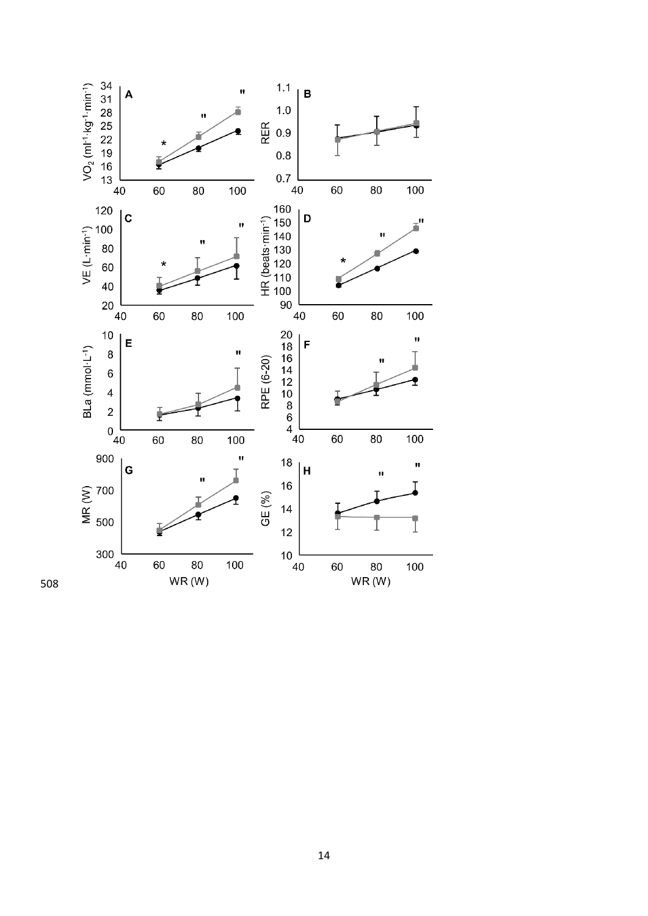